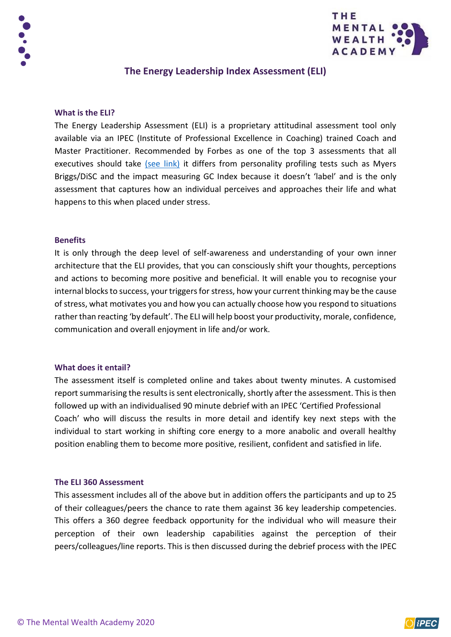



# **The Energy Leadership Index Assessment (ELI)**

### **What is the ELI?**

The Energy Leadership Assessment (ELI) is a proprietary attitudinal assessment tool only available via an IPEC (Institute of Professional Excellence in Coaching) trained Coach and Master Practitioner. Recommended by Forbes as one of the top 3 assessments that all executives should take [\(see link\)](https://www.forbes.com/sites/forbescoachescouncil/2018/05/01/11-assessments-every-executive-should-take/#7a7072967a51) it differs from personality profiling tests such as Myers Briggs/DiSC and the impact measuring GC Index because it doesn't 'label' and is the only assessment that captures how an individual perceives and approaches their life and what happens to this when placed under stress.

#### **Benefits**

It is only through the deep level of self-awareness and understanding of your own inner architecture that the ELI provides, that you can consciously shift your thoughts, perceptions and actions to becoming more positive and beneficial. It will enable you to recognise your internal blocks to success, your triggers for stress, how your current thinking may be the cause of stress, what motivates you and how you can actually choose how you respond to situations rather than reacting 'by default'. The ELI will help boost your productivity, morale, confidence, communication and overall enjoyment in life and/or work.

#### **What does it entail?**

The assessment itself is completed online and takes about twenty minutes. A customised report summarising the results is sent electronically, shortly after the assessment. This is then followed up with an individualised 90 minute debrief with an IPEC 'Certified Professional Coach' who will discuss the results in more detail and identify key next steps with the individual to start working in shifting core energy to a more anabolic and overall healthy position enabling them to become more positive, resilient, confident and satisfied in life.

#### **The ELI 360 Assessment**

This assessment includes all of the above but in addition offers the participants and up to 25 of their colleagues/peers the chance to rate them against 36 key leadership competencies. This offers a 360 degree feedback opportunity for the individual who will measure their perception of their own leadership capabilities against the perception of their peers/colleagues/line reports. This is then discussed during the debrief process with the IPEC